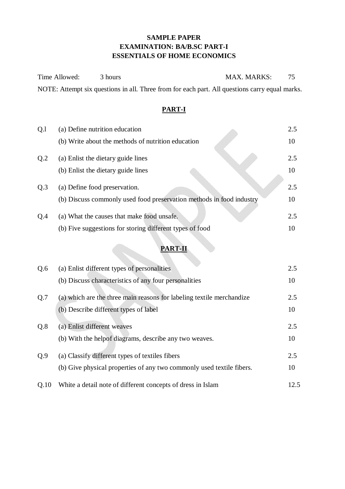### **SAMPLE PAPER EXAMINATION: BA/B.SC PART-I ESSENTIALS OF HOME ECONOMICS**

Time Allowed: 3 hours MAX. MARKS: 75 NOTE: Attempt six questions in all. Three from for each part. All questions carry equal marks.

### **PART-I**

| Q <sub>1</sub> | (a) Define nutrition education                                       | 2.5 |
|----------------|----------------------------------------------------------------------|-----|
|                | (b) Write about the methods of nutrition education                   | 10  |
| Q <sub>2</sub> | (a) Enlist the dietary guide lines                                   | 2.5 |
|                | (b) Enlist the dietary guide lines                                   | 10  |
| Q.3            | (a) Define food preservation.                                        | 2.5 |
|                | (b) Discuss commonly used food preservation methods in food industry | 10  |
| Q.4            | (a) What the causes that make food unsafe.                           | 2.5 |
|                | (b) Five suggestions for storing different types of food             | 10  |

### **PART-II**

| Q.6  | (a) Enlist different types of personalities                           | 2.5  |
|------|-----------------------------------------------------------------------|------|
|      | (b) Discuss characteristics of any four personalities                 | 10   |
| Q.7  | (a) which are the three main reasons for labeling textile merchandize | 2.5  |
|      | (b) Describe different types of label                                 | 10   |
| Q.8  | (a) Enlist different weaves                                           | 2.5  |
|      | (b) With the helpof diagrams, describe any two weaves.                | 10   |
| Q.9  | (a) Classify different types of textiles fibers                       | 2.5  |
|      | (b) Give physical properties of any two commonly used textile fibers. | 10   |
| Q.10 | White a detail note of different concepts of dress in Islam           | 12.5 |